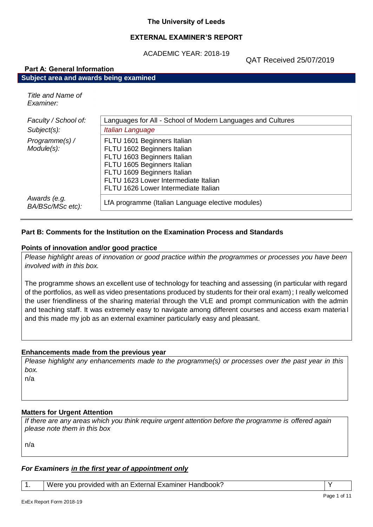#### **The University of Leeds**

#### **EXTERNAL EXAMINER'S REPORT**

ACADEMIC YEAR: 2018-19

QAT Received 25/07/2019

# **Part A: General Information Subject area and awards being examined**

*Title and Name of Examiner:*

| Faculty / School of:             | Languages for All - School of Modern Languages and Cultures                                                                                |
|----------------------------------|--------------------------------------------------------------------------------------------------------------------------------------------|
| Subject(s):                      | Italian Language                                                                                                                           |
| Programme(s) /<br>Module(s):     | FLTU 1601 Beginners Italian<br>FLTU 1602 Beginners Italian<br>FLTU 1603 Beginners Italian                                                  |
|                                  | FLTU 1605 Beginners Italian<br>FLTU 1609 Beginners Italian<br>FLTU 1623 Lower Intermediate Italian<br>FLTU 1626 Lower Intermediate Italian |
| Awards (e.g.<br>BA/BSc/MSc etc): | LfA programme (Italian Language elective modules)                                                                                          |

# **Part B: Comments for the Institution on the Examination Process and Standards**

#### **Points of innovation and/or good practice**

*Please highlight areas of innovation or good practice within the programmes or processes you have been involved with in this box.*

The programme shows an excellent use of technology for teaching and assessing (in particular with regard of the portfolios, as well as video presentations produced by students for their oral exam); I really welcomed the user friendliness of the sharing material through the VLE and prompt communication with the admin and teaching staff. It was extremely easy to navigate among different courses and access exam materia l and this made my job as an external examiner particularly easy and pleasant.

#### **Enhancements made from the previous year**

*Please highlight any enhancements made to the programme(s) or processes over the past year in this box.*

n/a

# **Matters for Urgent Attention**

*If there are any areas which you think require urgent attention before the programme is offered again please note them in this box*

n/a

# *For Examiners in the first year of appointment only*

1. Were you provided with an External Examiner Handbook?  $\vert$  Y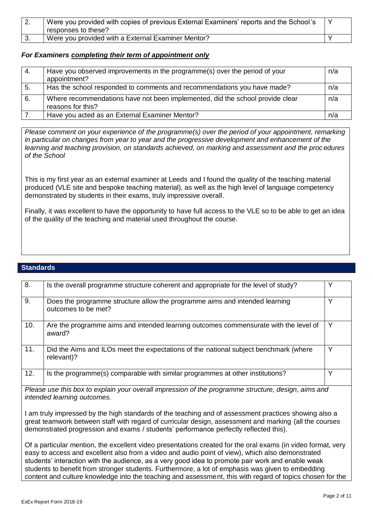| <u>.</u> | Were you provided with copies of previous External Examiners' reports and the School's<br>responses to these? |  |
|----------|---------------------------------------------------------------------------------------------------------------|--|
|          | Were you provided with a External Examiner Mentor?                                                            |  |

#### *For Examiners completing their term of appointment only*

| 4. | Have you observed improvements in the programme(s) over the period of your<br>appointment?         | n/a |
|----|----------------------------------------------------------------------------------------------------|-----|
| 5. | Has the school responded to comments and recommendations you have made?                            | n/a |
| 6. | Where recommendations have not been implemented, did the school provide clear<br>reasons for this? | n/a |
|    | Have you acted as an External Examiner Mentor?                                                     | n/a |

*Please comment on your experience of the programme(s) over the period of your appointment, remarking in particular on changes from year to year and the progressive development and enhancement of the learning and teaching provision, on standards achieved, on marking and assessment and the proc edures of the School*

This is my first year as an external examiner at Leeds and I found the quality of the teaching material produced (VLE site and bespoke teaching material), as well as the high level of language competency demonstrated by students in their exams, truly impressive overall.

Finally, it was excellent to have the opportunity to have full access to the VLE so to be able to get an idea of the quality of the teaching and material used throughout the course.

# **Standards**

| 8.  | Is the overall programme structure coherent and appropriate for the level of study?                                                                                                                                                                                                                      | Y |
|-----|----------------------------------------------------------------------------------------------------------------------------------------------------------------------------------------------------------------------------------------------------------------------------------------------------------|---|
|     |                                                                                                                                                                                                                                                                                                          |   |
| 9.  | Does the programme structure allow the programme aims and intended learning<br>outcomes to be met?                                                                                                                                                                                                       | Y |
| 10. | Are the programme aims and intended learning outcomes commensurate with the level of<br>award?                                                                                                                                                                                                           | Y |
| 11. | Did the Aims and ILOs meet the expectations of the national subject benchmark (where<br>relevant)?                                                                                                                                                                                                       | Y |
| 12. | Is the programme(s) comparable with similar programmes at other institutions?                                                                                                                                                                                                                            | Y |
|     | Please use this box to explain your overall impression of the programme structure, design, aims and<br>intended learning outcomes.                                                                                                                                                                       |   |
|     | I am truly impressed by the high standards of the teaching and of assessment practices showing also a<br>great teamwork between staff with regard of curricular design, assessment and marking (all the courses<br>demonstrated progression and exams / students' performance perfectly reflected this). |   |

Of a particular mention, the excellent video presentations created for the oral exams (in video format, very easy to access and excellent also from a video and audio point of view), which also demonstrated students' interaction with the audience, as a very good idea to promote pair work and enable weak students to benefit from stronger students. Furthermore, a lot of emphasis was given to embedding content and culture knowledge into the teaching and assessment, this with regard of topics chosen for the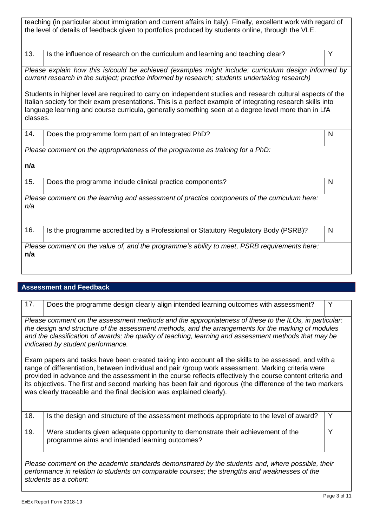| teaching (in particular about immigration and current affairs in Italy). Finally, excellent work with regard of<br>the level of details of feedback given to portfolios produced by students online, through the VLE.                                                                                                                        |                                                                                              |   |
|----------------------------------------------------------------------------------------------------------------------------------------------------------------------------------------------------------------------------------------------------------------------------------------------------------------------------------------------|----------------------------------------------------------------------------------------------|---|
| 13.                                                                                                                                                                                                                                                                                                                                          | Is the influence of research on the curriculum and learning and teaching clear?              | Y |
| Please explain how this is/could be achieved (examples might include: curriculum design informed by<br>current research in the subject; practice informed by research; students undertaking research)                                                                                                                                        |                                                                                              |   |
| Students in higher level are required to carry on independent studies and research cultural aspects of the<br>Italian society for their exam presentations. This is a perfect example of integrating research skills into<br>language learning and course curricula, generally something seen at a degree level more than in LfA<br>classes. |                                                                                              |   |
| 14.                                                                                                                                                                                                                                                                                                                                          | Does the programme form part of an Integrated PhD?                                           | N |
|                                                                                                                                                                                                                                                                                                                                              | Please comment on the appropriateness of the programme as training for a PhD:                |   |
| n/a                                                                                                                                                                                                                                                                                                                                          |                                                                                              |   |
| 15.                                                                                                                                                                                                                                                                                                                                          | Does the programme include clinical practice components?                                     | N |
| n/a                                                                                                                                                                                                                                                                                                                                          | Please comment on the learning and assessment of practice components of the curriculum here: |   |
| 16.                                                                                                                                                                                                                                                                                                                                          | Is the programme accredited by a Professional or Statutory Regulatory Body (PSRB)?           | N |
| n/a                                                                                                                                                                                                                                                                                                                                          | Please comment on the value of, and the programme's ability to meet, PSRB requirements here: |   |

# **Assessment and Feedback**

| 17.                                                                                                                                                                                                                                                                                                                                                         | Does the programme design clearly align intended learning outcomes with assessment?                                                                                                                                                                                                                                                                                                                                                                                                                             | Y |
|-------------------------------------------------------------------------------------------------------------------------------------------------------------------------------------------------------------------------------------------------------------------------------------------------------------------------------------------------------------|-----------------------------------------------------------------------------------------------------------------------------------------------------------------------------------------------------------------------------------------------------------------------------------------------------------------------------------------------------------------------------------------------------------------------------------------------------------------------------------------------------------------|---|
| Please comment on the assessment methods and the appropriateness of these to the ILOs, in particular:<br>the design and structure of the assessment methods, and the arrangements for the marking of modules<br>and the classification of awards; the quality of teaching, learning and assessment methods that may be<br>indicated by student performance. |                                                                                                                                                                                                                                                                                                                                                                                                                                                                                                                 |   |
|                                                                                                                                                                                                                                                                                                                                                             | Exam papers and tasks have been created taking into account all the skills to be assessed, and with a<br>range of differentiation, between individual and pair /group work assessment. Marking criteria were<br>provided in advance and the assessment in the course reflects effectively the course content criteria and<br>its objectives. The first and second marking has been fair and rigorous (the difference of the two markers<br>was clearly traceable and the final decision was explained clearly). |   |
| 18.                                                                                                                                                                                                                                                                                                                                                         | Is the design and structure of the assessment methods appropriate to the level of award?                                                                                                                                                                                                                                                                                                                                                                                                                        | Y |
| 19.                                                                                                                                                                                                                                                                                                                                                         | Were students given adequate opportunity to demonstrate their achievement of the<br>programme aims and intended learning outcomes?                                                                                                                                                                                                                                                                                                                                                                              | Y |
| Please comment on the academic standards demonstrated by the students and, where possible, their<br>performance in relation to students on comparable courses; the strengths and weaknesses of the<br>students as a cohort:                                                                                                                                 |                                                                                                                                                                                                                                                                                                                                                                                                                                                                                                                 |   |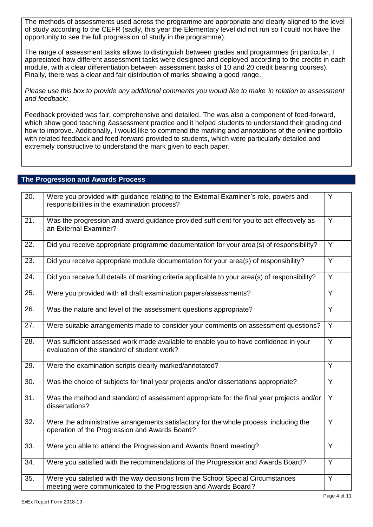The methods of assessments used across the programme are appropriate and clearly aligned to the level of study according to the CEFR (sadly, this year the Elementary level did not run so I could not have the opportunity to see the full progression of study in the programme).

The range of assessment tasks allows to distinguish between grades and programmes (in particular, I appreciated how different assessment tasks were designed and deployed according to the credits in each module, with a clear differentiation between assessment tasks of 10 and 20 credit bearing courses). Finally, there was a clear and fair distribution of marks showing a good range.

*Please use this box to provide any additional comments you would like to make in relation to assessment and feedback:*

Feedback provided was fair, comprehensive and detailed. The was also a component of feed-forward, which show good teaching &assessment practice and it helped students to understand their grading and how to improve. Additionally, I would like to commend the marking and annotations of the online portfolio with related feedback and feed-forward provided to students, which were particularly detailed and extremely constructive to understand the mark given to each paper.

# **The Progression and Awards Process**

| 20.               | Were you provided with guidance relating to the External Examiner's role, powers and<br>responsibilities in the examination process?              | Y              |
|-------------------|---------------------------------------------------------------------------------------------------------------------------------------------------|----------------|
| 21.               | Was the progression and award guidance provided sufficient for you to act effectively as<br>an External Examiner?                                 | Y              |
| 22.               | Did you receive appropriate programme documentation for your area (s) of responsibility?                                                          | Y              |
| 23.               | Did you receive appropriate module documentation for your area(s) of responsibility?                                                              | Y              |
| 24.               | Did you receive full details of marking criteria applicable to your area(s) of responsibility?                                                    | $\overline{Y}$ |
| 25.               | Were you provided with all draft examination papers/assessments?                                                                                  | Y              |
| 26.               | Was the nature and level of the assessment questions appropriate?                                                                                 | Y              |
| $\overline{27}$ . | Were suitable arrangements made to consider your comments on assessment questions?                                                                | $\overline{Y}$ |
| 28.               | Was sufficient assessed work made available to enable you to have confidence in your<br>evaluation of the standard of student work?               | Y              |
| 29.               | Were the examination scripts clearly marked/annotated?                                                                                            | Y              |
| 30.               | Was the choice of subjects for final year projects and/or dissertations appropriate?                                                              | Y              |
| $\overline{31}$ . | Was the method and standard of assessment appropriate for the final year projects and/or<br>dissertations?                                        | $\overline{Y}$ |
| 32.               | Were the administrative arrangements satisfactory for the whole process, including the<br>operation of the Progression and Awards Board?          | Y              |
| 33.               | Were you able to attend the Progression and Awards Board meeting?                                                                                 | Y              |
| $\overline{34}$ . | Were you satisfied with the recommendations of the Progression and Awards Board?                                                                  | Y              |
| 35.               | Were you satisfied with the way decisions from the School Special Circumstances<br>meeting were communicated to the Progression and Awards Board? | $\overline{Y}$ |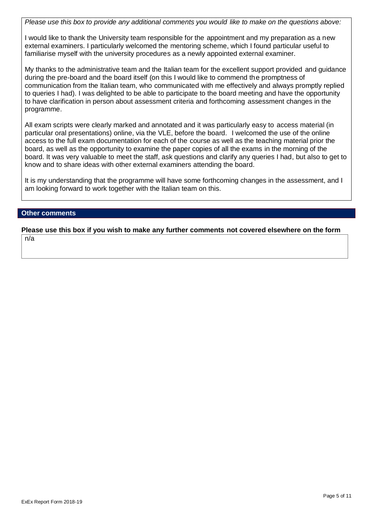*Please use this box to provide any additional comments you would like to make on the questions above:*

I would like to thank the University team responsible for the appointment and my preparation as a new external examiners. I particularly welcomed the mentoring scheme, which I found particular useful to familiarise myself with the university procedures as a newly appointed external examiner.

My thanks to the administrative team and the Italian team for the excellent support provided and guidance during the pre-board and the board itself (on this I would like to commend the promptness of communication from the Italian team, who communicated with me effectively and always promptly replied to queries I had). I was delighted to be able to participate to the board meeting and have the opportunity to have clarification in person about assessment criteria and forthcoming assessment changes in the programme.

All exam scripts were clearly marked and annotated and it was particularly easy to access material (in particular oral presentations) online, via the VLE, before the board. I welcomed the use of the online access to the full exam documentation for each of the course as well as the teaching material prior the board, as well as the opportunity to examine the paper copies of all the exams in the morning of the board. It was very valuable to meet the staff, ask questions and clarify any queries I had, but also to get to know and to share ideas with other external examiners attending the board.

It is my understanding that the programme will have some forthcoming changes in the assessment, and I am looking forward to work together with the Italian team on this.

# **Other comments**

**Please use this box if you wish to make any further comments not covered elsewhere on the form**

n/a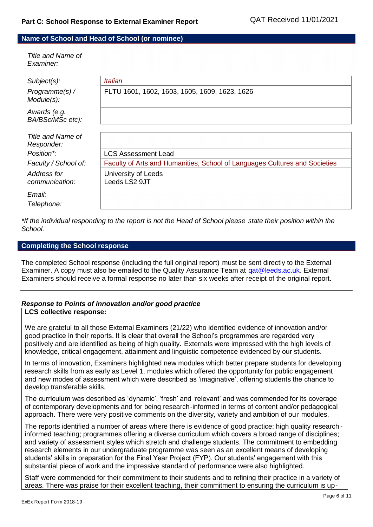#### **Name of School and Head of School (or nominee)**

*Title and Name of Examiner:*

| $Subject(s)$ :<br>Programme(s) /<br>Module(s): | <i>Italian</i><br>FLTU 1601, 1602, 1603, 1605, 1609, 1623, 1626            |
|------------------------------------------------|----------------------------------------------------------------------------|
| Awards (e.g.<br>BA/BSc/MSc etc):               |                                                                            |
| Title and Name of<br>Responder:                |                                                                            |
| Position*:                                     | <b>LCS Assessment Lead</b>                                                 |
| Faculty / School of:                           | Faculty of Arts and Humanities, School of Languages Cultures and Societies |
| Address for<br>communication:                  | University of Leeds<br>Leeds LS2 9JT                                       |
| Email:<br>Telephone:                           |                                                                            |

*\*If the individual responding to the report is not the Head of School please state their position within the School.*

#### **Completing the School response**

The completed School response (including the full original report) must be sent directly to the External Examiner. A copy must also be emailed to the Quality Assurance Team at [qat@leeds.ac.uk.](mailto:qat@leeds.ac.uk) External Examiners should receive a formal response no later than six weeks after receipt of the original report.

# *Response to Points of innovation and/or good practice*

# **LCS collective response:**

We are grateful to all those External Examiners (21/22) who identified evidence of innovation and/or good practice in their reports. It is clear that overall the School's programmes are regarded very positively and are identified as being of high quality. Externals were impressed with the high levels of knowledge, critical engagement, attainment and linguistic competence evidenced by our students.

In terms of innovation, Examiners highlighted new modules which better prepare students for developing research skills from as early as Level 1, modules which offered the opportunity for public engagement and new modes of assessment which were described as 'imaginative', offering students the chance to develop transferable skills.

The curriculum was described as 'dynamic', 'fresh' and 'relevant' and was commended for its coverage of contemporary developments and for being research-informed in terms of content and/or pedagogical approach. There were very positive comments on the diversity, variety and ambition of ou r modules.

The reports identified a number of areas where there is evidence of good practice: high quality research informed teaching; programmes offering a diverse curriculum which covers a broad range of disciplines; and variety of assessment styles which stretch and challenge students. The commitment to embedding research elements in our undergraduate programme was seen as an excellent means of developing students' skills in preparation for the Final Year Project (FYP). Our students' engagement with this substantial piece of work and the impressive standard of performance were also highlighted.

Staff were commended for their commitment to their students and to refining their practice in a variety of areas. There was praise for their excellent teaching, their commitment to ensuring the curriculum is up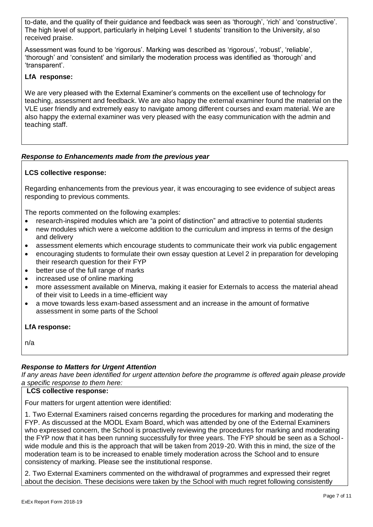to-date, and the quality of their guidance and feedback was seen as 'thorough', 'rich' and 'constructive'. The high level of support, particularly in helping Level 1 students' transition to the University, al so received praise.

Assessment was found to be 'rigorous'. Marking was described as 'rigorous', 'robust', 'reliable', 'thorough' and 'consistent' and similarly the moderation process was identified as 'thorough' and 'transparent'.

# **LfA response:**

We are very pleased with the External Examiner's comments on the excellent use of technology for teaching, assessment and feedback. We are also happy the external examiner found the material on the VLE user friendly and extremely easy to navigate among different courses and exam material. We are also happy the external examiner was very pleased with the easy communication with the admin and teaching staff.

# *Response to Enhancements made from the previous year*

# **LCS collective response:**

Regarding enhancements from the previous year, it was encouraging to see evidence of subject areas responding to previous comments.

The reports commented on the following examples:

- research-inspired modules which are "a point of distinction" and attractive to potential students
- new modules which were a welcome addition to the curriculum and impress in terms of the design and delivery
- assessment elements which encourage students to communicate their work via public engagement
- encouraging students to formulate their own essay question at Level 2 in preparation for developing their research question for their FYP
- better use of the full range of marks
- increased use of online marking
- more assessment available on Minerva, making it easier for Externals to access the material ahead of their visit to Leeds in a time-efficient way
- a move towards less exam-based assessment and an increase in the amount of formative assessment in some parts of the School

# **LfA response:**

n/a

# *Response to Matters for Urgent Attention*

*If any areas have been identified for urgent attention before the programme is offered again please provide a specific response to them here:*

#### **LCS collective response:**

Four matters for urgent attention were identified:

1. Two External Examiners raised concerns regarding the procedures for marking and moderating the FYP. As discussed at the MODL Exam Board, which was attended by one of the External Examiners who expressed concern, the School is proactively reviewing the procedures for marking and moderating the FYP now that it has been running successfully for three years. The FYP should be seen as a Schoolwide module and this is the approach that will be taken from 2019-20. With this in mind, the size of the moderation team is to be increased to enable timely moderation across the School and to ensure consistency of marking. Please see the institutional response.

2. Two External Examiners commented on the withdrawal of programmes and expressed their regret about the decision. These decisions were taken by the School with much regret following consistently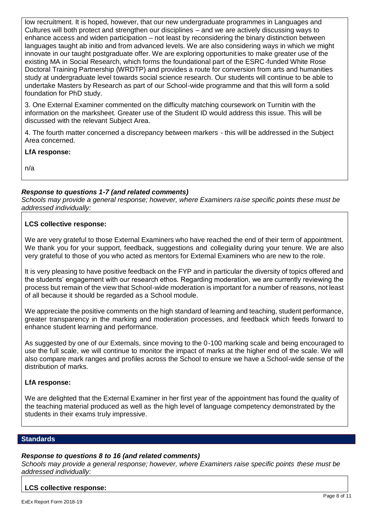low recruitment. It is hoped, however, that our new undergraduate programmes in Languages and Cultures will both protect and strengthen our disciplines – and we are actively discussing ways to enhance access and widen participation – not least by reconsidering the binary distinction between languages taught ab initio and from advanced levels. We are also considering ways in which we might innovate in our taught postgraduate offer. We are exploring opportunities to make greater use of the existing MA in Social Research, which forms the foundational part of the ESRC-funded White Rose Doctoral Training Partnership (WRDTP) and provides a route for conversion from arts and humanities study at undergraduate level towards social science research. Our students will continue to be able to undertake Masters by Research as part of our School-wide programme and that this will form a solid foundation for PhD study.

3. One External Examiner commented on the difficulty matching coursework on Turnitin with the information on the marksheet. Greater use of the Student ID would address this issue. This will be discussed with the relevant Subject Area.

4. The fourth matter concerned a discrepancy between markers - this will be addressed in the Subject Area concerned.

# **LfA response:**

n/a

# *Response to questions 1-7 (and related comments)*

*Schools may provide a general response; however, where Examiners raise specific points these must be addressed individually:*

#### **LCS collective response:**

We are very grateful to those External Examiners who have reached the end of their term of appointment. We thank you for your support, feedback, suggestions and collegiality during your tenure. We are also very grateful to those of you who acted as mentors for External Examiners who are new to the role.

It is very pleasing to have positive feedback on the FYP and in particular the diversity of topics offered and the students' engagement with our research ethos. Regarding moderation, we are currently reviewing the process but remain of the view that School-wide moderation is important for a number of reasons, not least of all because it should be regarded as a School module.

We appreciate the positive comments on the high standard of learning and teaching, student performance, greater transparency in the marking and moderation processes, and feedback which feeds forward to enhance student learning and performance.

As suggested by one of our Externals, since moving to the 0-100 marking scale and being encouraged to use the full scale, we will continue to monitor the impact of marks at the higher end of the scale. We will also compare mark ranges and profiles across the School to ensure we have a School-wide sense of the distribution of marks.

#### **LfA response:**

We are delighted that the External Examiner in her first year of the appointment has found the quality of the teaching material produced as well as the high level of language competency demonstrated by the students in their exams truly impressive.

#### **Standards**

#### *Response to questions 8 to 16 (and related comments)*

*Schools may provide a general response; however, where Examiners raise specific points these must be addressed individually:*

#### **LCS collective response:**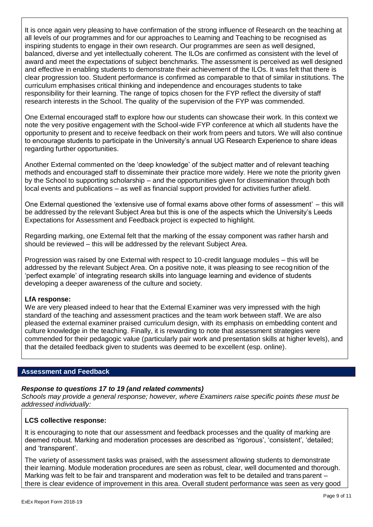It is once again very pleasing to have confirmation of the strong influence of Research on the teaching at all levels of our programmes and for our approaches to Learning and Teaching to be recognised as inspiring students to engage in their own research. Our programmes are seen as well designed, balanced, diverse and yet intellectually coherent. The ILOs are confirmed as consistent with the level of award and meet the expectations of subject benchmarks. The assessment is perceived as well designed and effective in enabling students to demonstrate their achievement of the ILOs. It was felt that there is clear progression too. Student performance is confirmed as comparable to that of similar in stitutions. The curriculum emphasises critical thinking and independence and encourages students to take responsibility for their learning. The range of topics chosen for the FYP reflect the diversity of staff research interests in the School. The quality of the supervision of the FYP was commended.

One External encouraged staff to explore how our students can showcase their work. In this context we note the very positive engagement with the School-wide FYP conference at which all students have the opportunity to present and to receive feedback on their work from peers and tutors. We will also continue to encourage students to participate in the University's annual UG Research Experience to share ideas regarding further opportunities.

Another External commented on the 'deep knowledge' of the subject matter and of relevant teaching methods and encouraged staff to disseminate their practice more widely. Here we note the priority given by the School to supporting scholarship – and the opportunities given for dissemination through both local events and publications – as well as financial support provided for activities further afield.

One External questioned the 'extensive use of formal exams above other forms of assessment' – this will be addressed by the relevant Subject Area but this is one of the aspects which the University's Leeds Expectations for Assessment and Feedback project is expected to highlight.

Regarding marking, one External felt that the marking of the essay component was rather harsh and should be reviewed – this will be addressed by the relevant Subject Area.

Progression was raised by one External with respect to 10-credit language modules – this will be addressed by the relevant Subject Area. On a positive note, it was pleasing to see recog nition of the 'perfect example' of integrating research skills into language learning and evidence of students developing a deeper awareness of the culture and society.

# **LfA response:**

We are very pleased indeed to hear that the External Examiner was very impressed with the high standard of the teaching and assessment practices and the team work between staff. We are also pleased the external examiner praised curriculum design, with its emphasis on embedding content and culture knowledge in the teaching. Finally, it is rewarding to note that assessment strategies were commended for their pedagogic value (particularly pair work and presentation skills at higher levels), and that the detailed feedback given to students was deemed to be excellent (esp. online).

#### **Assessment and Feedback**

# *Response to questions 17 to 19 (and related comments)*

*Schools may provide a general response; however, where Examiners raise specific points these must be addressed individually:*

# **LCS collective response:**

It is encouraging to note that our assessment and feedback processes and the quality of marking are deemed robust. Marking and moderation processes are described as 'rigorous', 'consistent', 'detailed; and 'transparent'.

The variety of assessment tasks was praised, with the assessment allowing students to demonstrate their learning. Module moderation procedures are seen as robust, clear, well documented and thorough. Marking was felt to be fair and transparent and moderation was felt to be detailed and trans parent – there is clear evidence of improvement in this area. Overall student performance was seen as very good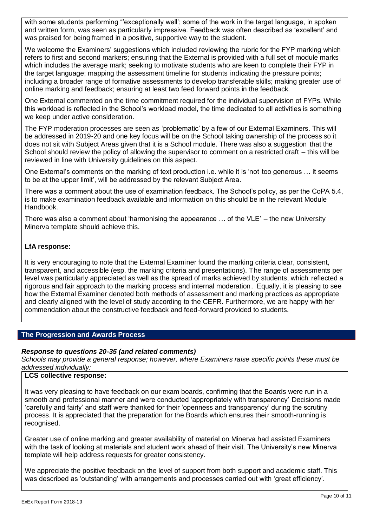with some students performing "exceptionally well'; some of the work in the target language, in spoken and written form, was seen as particularly impressive. Feedback was often described as 'excellent' and was praised for being framed in a positive, supportive way to the student.

We welcome the Examiners' suggestions which included reviewing the rubric for the FYP marking which refers to first and second markers; ensuring that the External is provided with a full set of module marks which includes the average mark; seeking to motivate students who are keen to complete their FYP in the target language; mapping the assessment timeline for students indicating the pressure points; including a broader range of formative assessments to develop transferable skills; making greater use of online marking and feedback; ensuring at least two feed forward points in the feedback.

One External commented on the time commitment required for the individual supervision of FYPs. While this workload is reflected in the School's workload model, the time dedicated to all activities is something we keep under active consideration.

The FYP moderation processes are seen as 'problematic' by a few of our External Examiners. This will be addressed in 2019-20 and one key focus will be on the School taking ownership of the process so it does not sit with Subject Areas given that it is a School module. There was also a suggestion that the School should review the policy of allowing the supervisor to comment on a restricted draft – this will be reviewed in line with University guidelines on this aspect.

One External's comments on the marking of text production i.e. while it is 'not too generous … it seems to be at the upper limit', will be addressed by the relevant Subject Area.

There was a comment about the use of examination feedback. The School's policy, as per the CoPA 5.4, is to make examination feedback available and information on this should be in the relevant Module Handbook.

There was also a comment about 'harmonising the appearance … of the VLE' – the new University Minerva template should achieve this.

# **LfA response:**

It is very encouraging to note that the External Examiner found the marking criteria clear, consistent, transparent, and accessible (esp. the marking criteria and presentations). The range of assessments per level was particularly appreciated as well as the spread of marks achieved by students, which reflected a rigorous and fair approach to the marking process and internal moderation. Equally, it is pleasing to see how the External Examiner denoted both methods of assessment and marking practices as appropriate and clearly aligned with the level of study according to the CEFR. Furthermore, we are happy with her commendation about the constructive feedback and feed-forward provided to students.

# **The Progression and Awards Process**

# *Response to questions 20-35 (and related comments)*

*Schools may provide a general response; however, where Examiners raise specific points these must be addressed individually:*

# **LCS collective response:**

It was very pleasing to have feedback on our exam boards, confirming that the Boards were run in a smooth and professional manner and were conducted 'appropriately with transparency' Decisions made 'carefully and fairly' and staff were thanked for their 'openness and transparency' during the scrutiny process. It is appreciated that the preparation for the Boards which ensures their smooth-running is recognised.

Greater use of online marking and greater availability of material on Minerva had assisted Examiners with the task of looking at materials and student work ahead of their visit. The University's new Minerva template will help address requests for greater consistency.

We appreciate the positive feedback on the level of support from both support and academic staff. This was described as 'outstanding' with arrangements and processes carried out with 'great efficiency'.